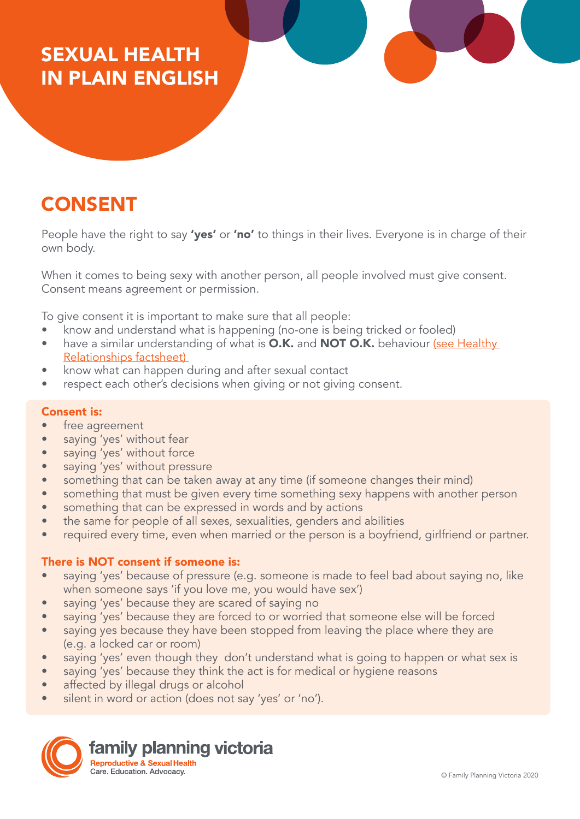## SEXUAL HEALTH IN PLAIN ENGLISH

## CONSENT

People have the right to say 'yes' or 'no' to things in their lives. Everyone is in charge of their own body.

When it comes to being sexy with another person, all people involved must give consent. Consent means agreement or permission.

To give consent it is important to make sure that all people:

- know and understand what is happening (no-one is being tricked or fooled)
- have a similar understanding of what is O.K. and NOT O.K. behaviour [\(see Healthy](https://www.fpv.org.au/assets/resources/FPV_PlainEnglishResources_FA_HealthyRelationships.pdf) [Relationships factsheet\)](https://www.fpv.org.au/assets/resources/FPV_PlainEnglishResources_FA_HealthyRelationships.pdf)
- know what can happen during and after sexual contact
- respect each other's decisions when giving or not giving consent.

## Consent is:

- free agreement
- saying 'yes' without fear
- saying 'yes' without force
- saying 'yes' without pressure
- something that can be taken away at any time (if someone changes their mind)
- something that must be given every time something sexy happens with another person
- something that can be expressed in words and by actions
- the same for people of all sexes, sexualities, genders and abilities
- required every time, even when married or the person is a boyfriend, girlfriend or partner.

## There is NOT consent if someone is:

- saying 'yes' because of pressure (e.g. someone is made to feel bad about saying no, like when someone says 'if you love me, you would have sex')
- saying 'yes' because they are scared of saying no
- saying 'yes' because they are forced to or worried that someone else will be forced
- saying yes because they have been stopped from leaving the place where they are (e.g. a locked car or room)
- saying 'yes' even though they don't understand what is going to happen or what sex is
- saying 'yes' because they think the act is for medical or hygiene reasons
- affected by illegal drugs or alcohol
- silent in word or action (does not say 'yes' or 'no').